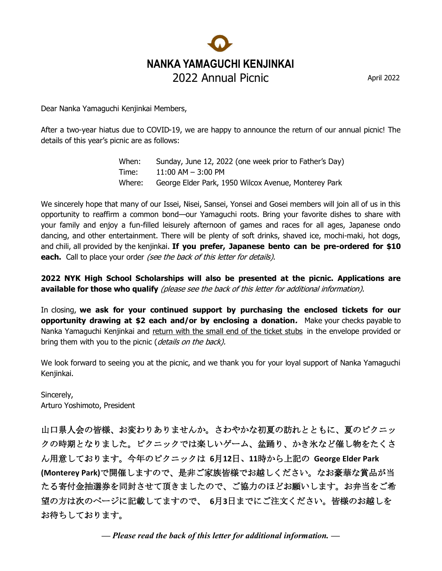# **NANKA YAMAGUCHI KENJINKAI** 2022 Annual Picnic April 2022

Dear Nanka Yamaguchi Kenjinkai Members,

After a two-year hiatus due to COVID-19, we are happy to announce the return of our annual picnic! The details of this year's picnic are as follows:

> When: Sunday, June 12, 2022 (one week prior to Father's Day) Time: 11:00 AM – 3:00 PM Where: George Elder Park, 1950 Wilcox Avenue, Monterey Park

We sincerely hope that many of our Issei, Nisei, Sansei, Yonsei and Gosei members will join all of us in this opportunity to reaffirm a common bond—our Yamaguchi roots. Bring your favorite dishes to share with your family and enjoy a fun-filled leisurely afternoon of games and races for all ages, Japanese ondo dancing, and other entertainment. There will be plenty of soft drinks, shaved ice, mochi-maki, hot dogs, and chili, all provided by the kenjinkai. **If you prefer, Japanese bento can be pre-ordered for \$10 each.** Call to place your order *(see the back of this letter for details)*.

**2022 NYK High School Scholarships will also be presented at the picnic. Applications are available for those who qualify** (please see the back of this letter for additional information).

In closing, **we ask for your continued support by purchasing the enclosed tickets for our opportunity drawing at \$2 each and/or by enclosing a donation.** Make your checks payable to Nanka Yamaguchi Kenjinkai and return with the small end of the ticket stubs in the envelope provided or bring them with you to the picnic (*details on the back*).

We look forward to seeing you at the picnic, and we thank you for your loyal support of Nanka Yamaguchi Kenjinkai.

Sincerely, Arturo Yoshimoto, President

山口県人会の皆様、お変わりありませんか。さわやかな初夏の訪れとともに、夏のピクニッ クの時期となりました。ピクニックでは楽しいゲーム、盆踊り、かき氷など催し物をたくさ ん用意しております。今年のピクニックは **6**月**12**日、**11**時から上記の **George Elder Park (Monterey Park)**で開催しますので、是非ご家族皆様でお越しください。なお豪華な賞品が当 たる寄付金抽選券を同封させて頂きましたので、ご協力のほどお願いします。お弁当をご希 望の方は次のページに記載してますので、 **6**月**3**日までにご注文ください。皆様のお越しを お待ちしております。

*— Please read the back of this letter for additional information. —*